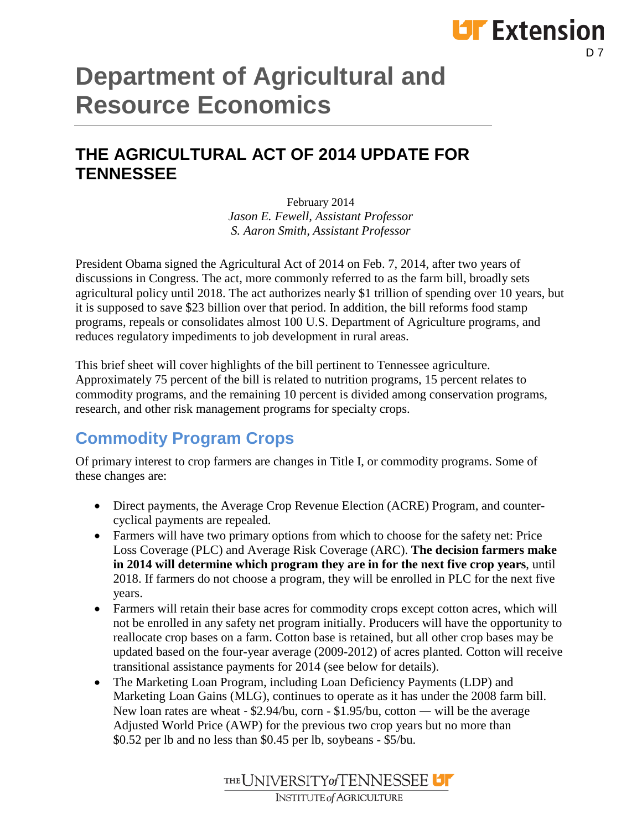# **Department of Agricultural and Resource Economics**

#### **THE AGRICULTURAL ACT OF 2014 UPDATE FOR TENNESSEE**

February 2014 *Jason E. Fewell, Assistant Professor S. Aaron Smith, Assistant Professor*

President Obama signed the Agricultural Act of 2014 on Feb. 7, 2014, after two years of discussions in Congress. The act, more commonly referred to as the farm bill, broadly sets agricultural policy until 2018. The act authorizes nearly \$1 trillion of spending over 10 years, but it is supposed to save \$23 billion over that period. In addition, the bill reforms food stamp programs, repeals or consolidates almost 100 U.S. Department of Agriculture programs, and reduces regulatory impediments to job development in rural areas.

This brief sheet will cover highlights of the bill pertinent to Tennessee agriculture. Approximately 75 percent of the bill is related to nutrition programs, 15 percent relates to commodity programs, and the remaining 10 percent is divided among conservation programs, research, and other risk management programs for specialty crops.

### **Commodity Program Crops**

Of primary interest to crop farmers are changes in Title I, or commodity programs. Some of these changes are:

- Direct payments, the Average Crop Revenue Election (ACRE) Program, and countercyclical payments are repealed.
- Farmers will have two primary options from which to choose for the safety net: Price Loss Coverage (PLC) and Average Risk Coverage (ARC). **The decision farmers make in 2014 will determine which program they are in for the next five crop years**, until 2018. If farmers do not choose a program, they will be enrolled in PLC for the next five years.
- Farmers will retain their base acres for commodity crops except cotton acres, which will not be enrolled in any safety net program initially. Producers will have the opportunity to reallocate crop bases on a farm. Cotton base is retained, but all other crop bases may be updated based on the four-year average (2009-2012) of acres planted. Cotton will receive transitional assistance payments for 2014 (see below for details).
- The Marketing Loan Program, including Loan Deficiency Payments (LDP) and Marketing Loan Gains (MLG), continues to operate as it has under the 2008 farm bill. New loan rates are wheat ‐ \$2.94/bu, corn - \$1.95/bu, cotton — will be the average Adjusted World Price (AWP) for the previous two crop years but no more than \$0.52 per lb and no less than \$0.45 per lb, soybeans - \$5/bu.



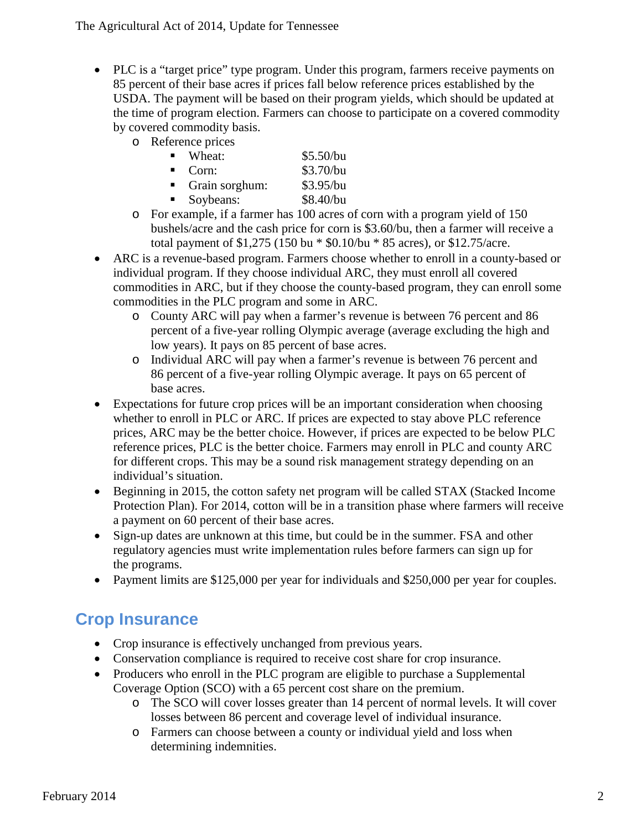- PLC is a "target price" type program. Under this program, farmers receive payments on 85 percent of their base acres if prices fall below reference prices established by the USDA. The payment will be based on their program yields, which should be updated at the time of program election. Farmers can choose to participate on a covered commodity by covered commodity basis.
	- o Reference prices

| $\mathbf{E}$ . | Wheat:         | \$5.50/bu |
|----------------|----------------|-----------|
| $\blacksquare$ | Corn:          | \$3.70/bu |
|                | Grain sorghum: | \$3.95/bu |
|                | Soybeans:      | \$8.40/bu |

- o For example, if a farmer has 100 acres of corn with a program yield of 150 bushels/acre and the cash price for corn is \$3.60/bu, then a farmer will receive a total payment of \$1,275 (150 bu \* \$0.10/bu \* 85 acres), or \$12.75/acre.
- ARC is a revenue-based program. Farmers choose whether to enroll in a county-based or individual program. If they choose individual ARC, they must enroll all covered commodities in ARC, but if they choose the county-based program, they can enroll some commodities in the PLC program and some in ARC.
	- o County ARC will pay when a farmer's revenue is between 76 percent and 86 percent of a five-year rolling Olympic average (average excluding the high and low years). It pays on 85 percent of base acres.
	- o Individual ARC will pay when a farmer's revenue is between 76 percent and 86 percent of a five-year rolling Olympic average. It pays on 65 percent of base acres.
- Expectations for future crop prices will be an important consideration when choosing whether to enroll in PLC or ARC. If prices are expected to stay above PLC reference prices, ARC may be the better choice. However, if prices are expected to be below PLC reference prices, PLC is the better choice. Farmers may enroll in PLC and county ARC for different crops. This may be a sound risk management strategy depending on an individual's situation.
- Beginning in 2015, the cotton safety net program will be called STAX (Stacked Income Protection Plan). For 2014, cotton will be in a transition phase where farmers will receive a payment on 60 percent of their base acres.
- Sign-up dates are unknown at this time, but could be in the summer. FSA and other regulatory agencies must write implementation rules before farmers can sign up for the programs.
- Payment limits are \$125,000 per year for individuals and \$250,000 per year for couples.

### **Crop Insurance**

- Crop insurance is effectively unchanged from previous years.
- Conservation compliance is required to receive cost share for crop insurance.
- Producers who enroll in the PLC program are eligible to purchase a Supplemental Coverage Option (SCO) with a 65 percent cost share on the premium.
	- o The SCO will cover losses greater than 14 percent of normal levels. It will cover losses between 86 percent and coverage level of individual insurance.
	- o Farmers can choose between a county or individual yield and loss when determining indemnities.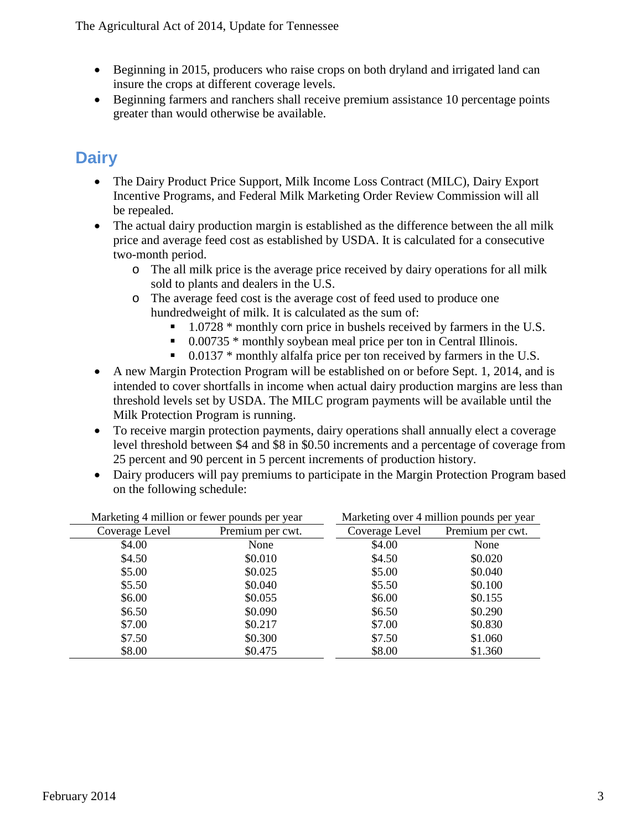- Beginning in 2015, producers who raise crops on both dryland and irrigated land can insure the crops at different coverage levels.
- Beginning farmers and ranchers shall receive premium assistance 10 percentage points greater than would otherwise be available.

## **Dairy**

- The Dairy Product Price Support, Milk Income Loss Contract (MILC), Dairy Export Incentive Programs, and Federal Milk Marketing Order Review Commission will all be repealed.
- The actual dairy production margin is established as the difference between the all milk price and average feed cost as established by USDA. It is calculated for a consecutive two-month period.
	- o The all milk price is the average price received by dairy operations for all milk sold to plants and dealers in the U.S.
	- o The average feed cost is the average cost of feed used to produce one hundredweight of milk. It is calculated as the sum of:
		- 1.0728 \* monthly corn price in bushels received by farmers in the U.S.
		- $\bullet$  0.00735  $*$  monthly soybean meal price per ton in Central Illinois.
		- $\blacksquare$  0.0137  $*$  monthly alfalfa price per ton received by farmers in the U.S.
- A new Margin Protection Program will be established on or before Sept. 1, 2014, and is intended to cover shortfalls in income when actual dairy production margins are less than threshold levels set by USDA. The MILC program payments will be available until the Milk Protection Program is running.
- To receive margin protection payments, dairy operations shall annually elect a coverage level threshold between \$4 and \$8 in \$0.50 increments and a percentage of coverage from 25 percent and 90 percent in 5 percent increments of production history.
- Dairy producers will pay premiums to participate in the Margin Protection Program based on the following schedule:

| Marketing 4 million or fewer pounds per year |                  | Marketing over 4 million pounds per year |                  |
|----------------------------------------------|------------------|------------------------------------------|------------------|
| Coverage Level                               | Premium per cwt. | Coverage Level                           | Premium per cwt. |
| \$4.00                                       | None             | \$4.00                                   | None             |
| \$4.50                                       | \$0.010          | \$4.50                                   | \$0.020          |
| \$5.00                                       | \$0.025          | \$5.00                                   | \$0.040          |
| \$5.50                                       | \$0.040          | \$5.50                                   | \$0.100          |
| \$6.00                                       | \$0.055          | \$6.00                                   | \$0.155          |
| \$6.50                                       | \$0.090          | \$6.50                                   | \$0.290          |
| \$7.00                                       | \$0.217          | \$7.00                                   | \$0.830          |
| \$7.50                                       | \$0.300          | \$7.50                                   | \$1.060          |
| \$8.00                                       | \$0.475          | \$8.00                                   | \$1.360          |